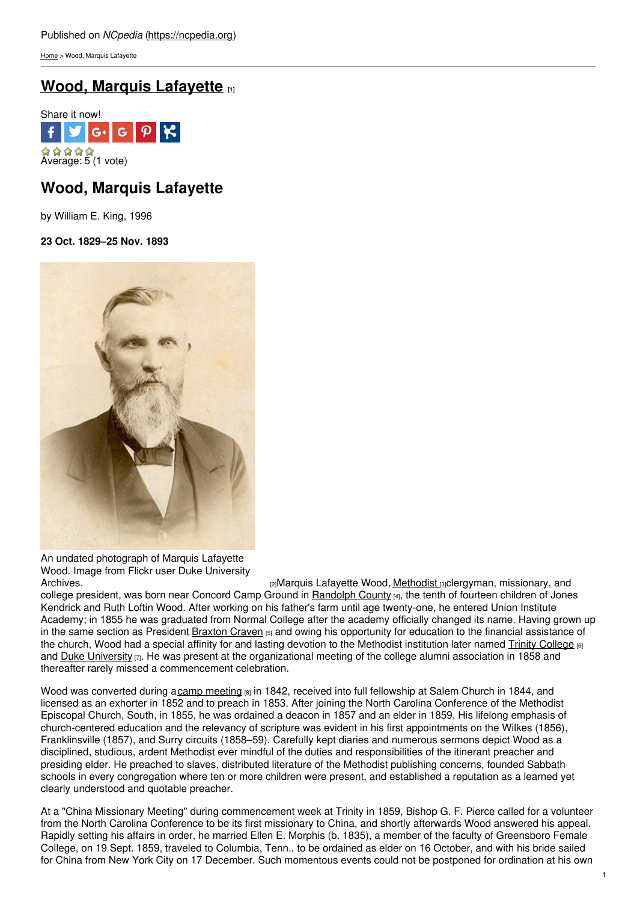[Home](https://ncpedia.org/) > Wood, Marquis Lafayette

# **Wood, Marquis [Lafayette](https://ncpedia.org/biography/wood-marquis-lafayette) [1]**



# **Wood, Marquis Lafayette**

by William E. King, 1996

# **23 Oct. 1829–25 Nov. 1893**



An undated photograph of Marquis Lafayette Wood. Image from Flickr user Duke University<br>Archives.

ra Marquis Lafayette Wood, [Methodist](https://ncpedia.org/methodist-church) raclergyman, missionary, and college president, was born near Concord Camp Ground in [Randolph](https://ncpedia.org/geography/randolph) County [4], the tenth of fourteen children of Jones Kendrick and Ruth Loftin Wood. After working on his father's farm until age twenty-one, he entered Union Institute Academy; in 1855 he was graduated from Normal College after the academy officially changed its name. Having grown up in the same section as President [Braxton](https://ncpedia.org/biography/craven-braxton) Craven [5] and owing his opportunity for education to the financial assistance of the church, Wood had a special affinity for and lasting devotion to the Methodist institution later named Trinity [College](https://ncpedia.org/trinity-college) [6] and Duke [University](https://ncpedia.org/duke-university)  $[7]$ . He was present at the organizational meeting of the college alumni association in 1858 and thereafter rarely missed a commencement celebration.

Wood was converted during acamp [meeting](https://ncpedia.org/camp-meetings)  $_{[8]}$  in 1842, received into full fellowship at Salem Church in 1844, and licensed as an exhorter in 1852 and to preach in 1853. After joining the North Carolina Conference of the Methodist Episcopal Church, South, in 1855, he was ordained a deacon in 1857 and an elder in 1859. His lifelong emphasis of church-centered education and the relevancy of scripture was evident in his first appointments on the Wilkes (1856), Franklinsville (1857), and Surry circuits (1858–59). Carefully kept diaries and numerous sermons depict Wood as a disciplined, studious, ardent Methodist ever mindful of the duties and responsibilities of the itinerant preacher and presiding elder. He preached to slaves, distributed literature of the Methodist publishing concerns, founded Sabbath schools in every congregation where ten or more children were present, and established a reputation as a learned yet clearly understood and quotable preacher.

At a "China Missionary Meeting" during commencement week at Trinity in 1859, Bishop G. F. Pierce called for a volunteer from the North Carolina Conference to be its first missionary to China, and shortly afterwards Wood answered his appeal. Rapidly setting his affairs in order, he married Ellen E. Morphis (b. 1835), a member of the faculty of Greensboro Female College, on 19 Sept. 1859, traveled to Columbia, Tenn., to be ordained as elder on 16 October, and with his bride sailed for China from New York City on 17 December. Such momentous events could not be postponed for ordination at his own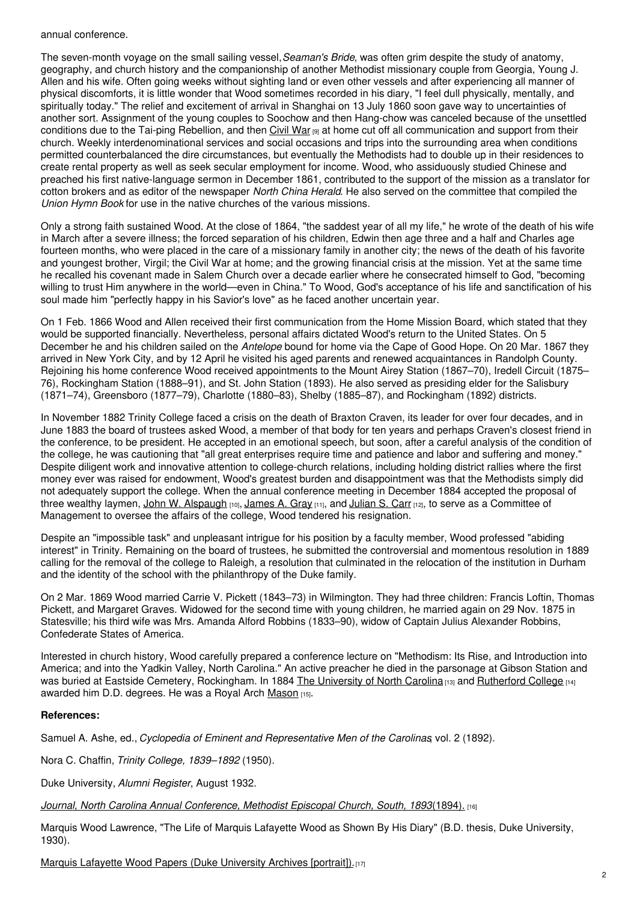### annual conference.

The seven-month voyage on the small sailing vessel,*Seaman's Bride*, was often grim despite the study of anatomy, geography, and church history and the companionship of another Methodist missionary couple from Georgia, Young J. Allen and his wife. Often going weeks without sighting land or even other vessels and after experiencing all manner of physical discomforts, it is little wonder that Wood sometimes recorded in his diary, "I feel dull physically, mentally, and spiritually today." The relief and excitement of arrival in Shanghai on 13 July 1860 soon gave way to uncertainties of another sort. Assignment of the young couples to Soochow and then Hang-chow was canceled because of the unsettled conditions due to the Tai-ping Rebellion, and then [Civil](https://ncpedia.org/civil-war) War [9] at home cut off all communication and support from their church. Weekly interdenominational services and social occasions and trips into the surrounding area when conditions permitted counterbalanced the dire circumstances, but eventually the Methodists had to double up in their residences to create rental property as well as seek secular employment for income. Wood, who assiduously studied Chinese and preached his first native-language sermon in December 1861, contributed to the support of the mission as a translator for cotton brokers and as editor of the newspaper *North China Herald*. He also served on the committee that compiled the *Union Hymn Book* for use in the native churches of the various missions.

Only a strong faith sustained Wood. At the close of 1864, "the saddest year of all my life," he wrote of the death of his wife in March after a severe illness; the forced separation of his children, Edwin then age three and a half and Charles age fourteen months, who were placed in the care of a missionary family in another city; the news of the death of his favorite and youngest brother, Virgil; the Civil War at home; and the growing financial crisis at the mission. Yet at the same time he recalled his covenant made in Salem Church over a decade earlier where he consecrated himself to God, "becoming willing to trust Him anywhere in the world—even in China." To Wood, God's acceptance of his life and sanctification of his soul made him "perfectly happy in his Savior's love" as he faced another uncertain year.

On 1 Feb. 1866 Wood and Allen received their first communication from the Home Mission Board, which stated that they would be supported financially. Nevertheless, personal affairs dictated Wood's return to the United States. On 5 December he and his children sailed on the *Antelope* bound for home via the Cape of Good Hope. On 20 Mar. 1867 they arrived in New York City, and by 12 April he visited his aged parents and renewed acquaintances in Randolph County. Rejoining his home conference Wood received appointments to the Mount Airey Station (1867–70), Iredell Circuit (1875– 76), Rockingham Station (1888–91), and St. John Station (1893). He also served as presiding elder for the Salisbury (1871–74), Greensboro (1877–79), Charlotte (1880–83), Shelby (1885–87), and Rockingham (1892) districts.

In November 1882 Trinity College faced a crisis on the death of Braxton Craven, its leader for over four decades, and in June 1883 the board of trustees asked Wood, a member of that body for ten years and perhaps Craven's closest friend in the conference, to be president. He accepted in an emotional speech, but soon, after a careful analysis of the condition of the college, he was cautioning that "all great enterprises require time and patience and labor and suffering and money." Despite diligent work and innovative attention to college-church relations, including holding district rallies where the first money ever was raised for endowment, Wood's greatest burden and disappointment was that the Methodists simply did not adequately support the college. When the annual conference meeting in December 1884 accepted the proposal of three wealthy laymen, John W. [Alspaugh](https://ncpedia.org/biography/alspaugh-john-wesley)  $_{[10]}$ , [James](https://ncpedia.org/biography/gray-james-alexander) A. Gray  $_{[11]}$ , and [Julian](https://ncpedia.org/biography/carr-julian-shakespeare) S. Carr  $_{[12]}$ , to serve as a Committee of Management to oversee the affairs of the college, Wood tendered his resignation.

Despite an "impossible task" and unpleasant intrigue for his position by a faculty member, Wood professed "abiding interest" in Trinity. Remaining on the board of trustees, he submitted the controversial and momentous resolution in 1889 calling for the removal of the college to Raleigh, a resolution that culminated in the relocation of the institution in Durham and the identity of the school with the philanthropy of the Duke family.

On 2 Mar. 1869 Wood married Carrie V. Pickett (1843–73) in Wilmington. They had three children: Francis Loftin, Thomas Pickett, and Margaret Graves. Widowed for the second time with young children, he married again on 29 Nov. 1875 in Statesville; his third wife was Mrs. Amanda Alford Robbins (1833–90), widow of Captain Julius Alexander Robbins, Confederate States of America.

Interested in church history, Wood carefully prepared a conference lecture on "Methodism: Its Rise, and Introduction into America; and into the Yadkin Valley, North Carolina." An active preacher he died in the parsonage at Gibson Station and was buried at Eastside Cemetery, Rockingham. In 1884 The [University](https://ncpedia.org/university-north-carolina-chapel-hi) of North Carolina [13] and [Rutherford](https://ncpedia.org/rutherford-college) College [14] awarded him D.D. degrees. He was a Royal Arch [Mason](https://ncpedia.org/freemasons) [15].

### **References:**

Samuel A. Ashe, ed., *Cyclopedia of Eminent and Representative Men of the Carolinas*, vol. 2 (1892).

Nora C. Chaffin, *Trinity College, 1839–1892* (1950).

Duke University, *Alumni Register*, August 1932.

*Journal, North Carolina Annual [Conference,](http://books.google.com/books?id=cdkpAAAAYAAJ&pg=RA5-PA43#v=onepage&q&f=false) Methodist Episcopal Church, South, 1893*(1894). [16]

Marquis Wood Lawrence, "The Life of Marquis Lafayette Wood as Shown By His Diary" (B.D. thesis, Duke University, 1930).